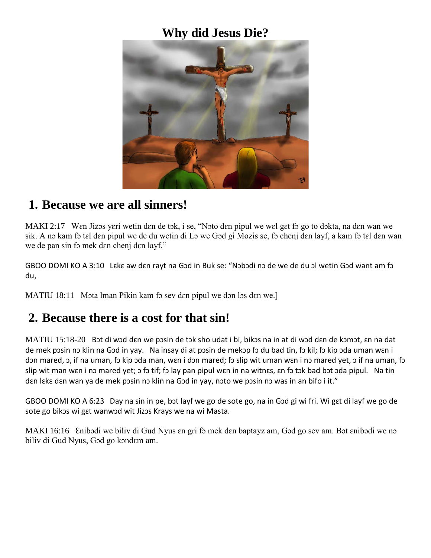### **Why did Jesus Die?**



#### **1. Because we are all sinners!**

MAKI 2:17 Wen Jizos yeri wetin den de tok, i se, "Noto den pipul we wel get fo go to dokta, na den wan we sik. A nɔ kam fɔ tɛl dɛn pipul we de du wetin di Lɔ we Gɔd gi Mozis se, fɔ chenj dɛn layf, a kam fɔ tɛl dɛn wan we de pan sin fo mek den chenj den layf."

GBOO DOMI KO A 3:10 Lɛkɛ aw dɛn rayt na Gɔd in Buk se: "Nɔbɔdi nɔ de we de du ɔl wetin Gɔd want am fɔ du,

MATIU 18:11 Mota lman Pikin kam fo sev den pipul we don los den we.

#### **2. Because there is a cost for that sin!**

MATIU 15:18-20 Bɔt di wɔd dɛn we pɔsin de tɔk sho udat i bi, bikɔs na in at di wɔd dɛn de kɔmɔt, ɛn na dat de mek pɔsin nɔ klin na Gɔd in yay. Na insay di at pɔsin de mekɔp fɔ du bad tin, fɔ kil; fɔ kip ɔda uman wɛn i dɔn mared, ɔ, if na uman, fɔ kip ɔda man, wɛn i dɔn mared; fɔ slip wit uman wɛn i nɔ mared yet, ɔ if na uman, fɔ slip wit man wɛn i nɔ mared yet; ɔ fɔ tif; fɔ lay pan pipul wɛn in na witnɛs, ɛn fɔ tɔk bad bɔt ɔda pipul. Na tin dɛn lɛkɛ dɛn wan ya de mek pɔsin nɔ klin na Gɔd in yay, nɔto we pɔsin nɔ was in an bifo i it."

GBOO DOMI KO A 6:23 Day na sin in pe, bɔt layf we go de sote go, na in Gɔd gi wi fri. Wi gɛt di layf we go de sote go bikɔs wi gɛt wanwɔd wit Jizɔs Krays we na wi Masta.

MAKI 16:16 Enibodi we biliv di Gud Nyus en gri fo mek den baptayz am, God go sev am. Bot enibodi we no biliv di Gud Nyus, Gɔd go kɔndɛm am.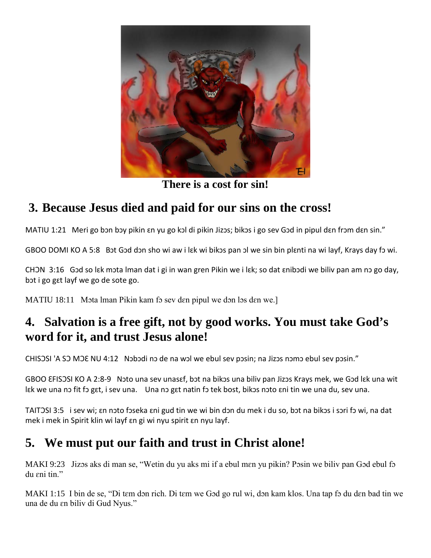

**There is a cost for sin!**

# **3. Because Jesus died and paid for our sins on the cross!**

MATIU 1:21 Meri go bɔn bɔy pikin ɛn yu go kɔl di pikin Jizɔs; bikɔs i go sev Gɔd in pipul dɛn frɔm dɛn sin."

GBOO DOMI KO A 5:8 Bot God don sho wi aw i lɛk wi bikos pan ol we sin bin plɛnti na wi layf, Krays day fo wi.

CHƆN 3:16 Gɔd so lɛk mɔta lman dat i gi in wan gren Pikin we i lɛk; so dat ɛnibɔdi we biliv pan am nɔ go day, bɔt i go gɛt layf we go de sote go.

MATIU 18:11 Mota lman Pikin kam fo sev den pipul we don los den we.

### **4. Salvation is a free gift, not by good works. You must take God's word for it, and trust Jesus alone!**

CHISƆSI 'A SƆ MƆƐ NU 4:12 Nɔbɔdi nɔ de na wɔl we ebul sev pɔsin; na Jizɔs nɔmɔ ebul sev pɔsin."

GBOO ƐFISƆSI KO A 2:8-9 Nɔto una sev unasɛf, bɔt na bikɔs una biliv pan Jizɔs Krays mek, we Gɔd lɛk una wit lɛk we una nɔ fit fɔ gɛt, i sev una. Una nɔ gɛt natin fɔ tek bost, bikɔs nɔto ɛni tin we una du, sev una.

TAITƆSI 3:5 i sev wi; ɛn nɔto fɔseka ɛni gud tin we wi bin dɔn du mek i du so, bɔt na bikɔs i sɔri fɔ wi, na dat mek i mek in Spirit klin wi layf ɛn gi wi nyu spirit ɛn nyu layf.

# **5. We must put our faith and trust in Christ alone!**

MAKI 9:23 Jizos aks di man se, "Wetin du yu aks mi if a ebul men yu pikin? Posin we biliv pan God ebul fo du ɛni tin."

MAKI 1:15 I bin de se, "Di tɛm dɔn rich. Di tɛm we Gɔd go rul wi, dɔn kam klos. Una tap fɔ du dɛn bad tin we una de du ɛn biliv di Gud Nyus."